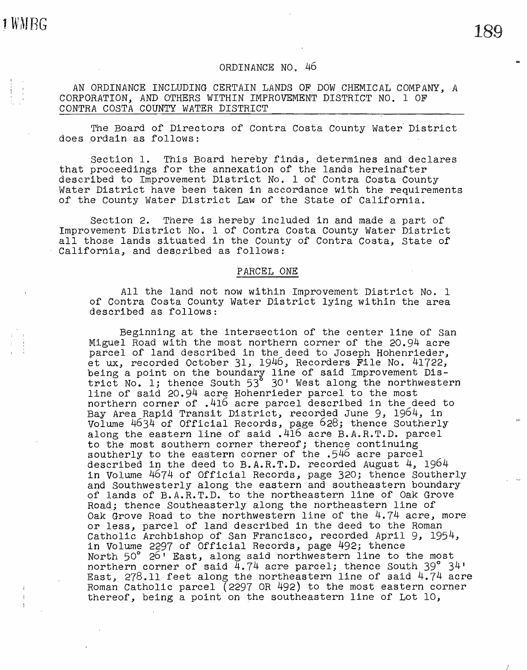JWMBG

# 189

## ORDINANCE NO. 46

AN ORDINANCE INCLUDING CERTAIN LANDS OF DOW CHEMICAL COMPANY, A CORPORATION, AND OTHERS WITHIN IMPROVEMENT DISTRICT NO. 1 OF CONTRA COSTA COUNTY WATER DISTRICT

The Board of Directors of Contra Costa County Water District does ordain as follows:

Section 1. This Board hereby finds, determines and declares that proceedings for the annexation of the lands hereinafter described to Improvement District No. 1 of Contra Costa County Water District have been taken in accordance with the requirements of the County water District Law of the State of California.

Section 2. There is hereby included in and made a part of Improvement District No. 1 of Contra Costa County Water District all those lands situated in the County of Contra Costa, State of California, and described as follows:

#### PARCEL ONE

All the land not now within Improvement District No. 1 of Contra Costa County Water District lying within the area described as follows:

Beginning at the intersection of the center line of San Miguel Road with the most northern corner of the 20.94 acre parcel of land described in the deed to Joseph Hohenrieder, et ux, recorded October 31, 1946, Recorders File No. 41722, being a point on the boundary line of said Improvement Disbeing a point on the boundary line of sard improvements bis-<br>trict No. 1; thence South 53 30' West along the northwestern line of said 20.94 acre Hohenrieder parcel to the most northern corner of .416 acre parcel described in the deed to Bay Area Rapid Transit District, recorded June 9, 1964, in Volume 4634 of Official Records, page 628; thence Southerly along the eastern line of said .416 acre B.A.R.T.D. parcel to the most southern corner thereof; thence continuing southerly to the eastern corner of the .546 acre parcel described in the deed to B.A.R.T.D. recorded August 4, 1964 in Volume 4674 of Official Records, page 320; thence Southerly and Southwesterly along the eastern and southeastern boundary of lands of B.A.R.T.D. to the northeastern line of Oak Grove Road; thence southeasterly along the northeastern line of Oak Grove Road to the northwestern line of the 4.74 acre, more or less, parcel of land described in the deed to the Roman Catholic Archbishop of San Francisco, recorded April 9, 1954, in Volume 2297 of Official Records, page 492; thence North 50° 26<sup>1</sup> East, along said northwestern line to the most northern corner of said 4.74 acre parcel; thence South 39° 34' East, 278.11 feet along the northeastern line of said 4.74 acre Roman Catholic parcel (2297 OR 492) to the most eastern corner thereof, being a point on the southeastern line of Lot 10,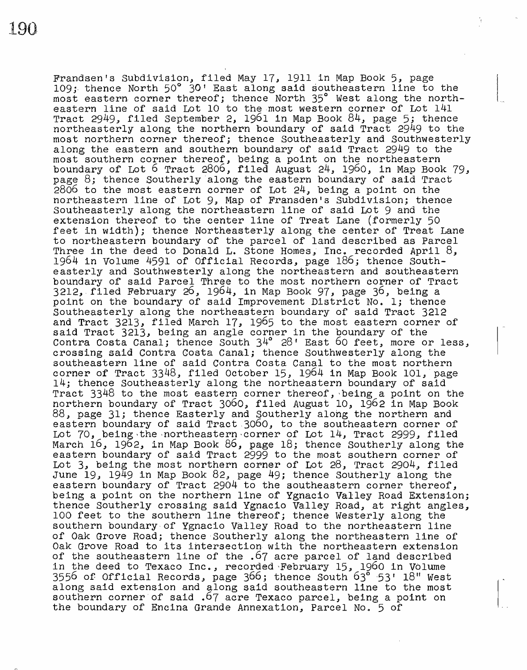Frandsen's Subdivision, filed May 17, 1911 in Map Book 5, page 109; thence North 50° 30' East along said southeastern line to the most eastern corner thereof; thence North 35° West along the northeastern line of said Lot 10 to the-most western corner of Lot 141 Tract 2949, filed September *2,* 1961 in Map Book 84, page 5; thence northeasterly along the northern boundary of said Tract 2949 to the most northern corner thereof; thence Southeasterly and Southwesterly along the eastern and southern boundary of said Tract 2949 to the most southern corner thereof, being a point on the northeastern boundary of Lot 6 Tract 2806, filed August 24, 1960, in Map Book 79, page 8; thence Souther1y·a1ong. the eastern boundary of said Tract 2806 to the most eastern corner of Lot 24, being a point on the northeastern line of Lot 9, Map of Fransden's Subdivision; thence Southeasterly along the northeastern line of said Lot 9 and the extension thereof to the center line of Treat Lane (formerly 50 feet in width); thence Northeasterly along the center of Treat Lane to northeastern boundary of the parcel of land described as Parcel Three in the deed to Donald L. Stone Homes, Inc. recorded April 8, 1964 in Volume 4591 of Official Records, page 186; thence Southeasterly and Southwesterly along the northeastern and southeastern boundary of said Parcel Three to the most northern corner of Tract 3212,.filed February 26, 1964, in Map Book 97, page 36, being a point on the boundary of said Improvement District No. 1; thence Southeasterly along the northeastern boundary of said Tract 3212 and Tract 3213, filed March 17, 1965 to the most eastern corner of said Tract 3213, being an angle corner in the boundary of the Contra Costa Canal; thence South 34° 28' East 60 feet, more or less, crossing said Contra Costa Canal; thence Southwesterly along the southeastern line of said Contra Costa Canal to the most northern corner of Tract 3348, filed October 15, 1964 in Map Book 101, page<br>14; thence Southeasterly along the northeastern boundary of said Tract  $3348$  to the most eastern corner thereof, being a point on the northern boundary of Tract 3060, filed August 10, 1962 in Map Book 88, page 31; thence Easterly and Southerly along the northern and eastern boundary of said Tract.3060, to the southeastern corner of Lot 70, being the northeastern corner of Lot 14, Tract 2999, filed March 16, 1962, in Map Book *86,* page 18; thence Southerly along the eastern boundary of said Tract 2999 to the most southern corner of Lot 3, being the most northern corner of Lot 28, Tract 2904, filed June 19, 1949 in Map Book 82, page 49; thence Southerly along the eastern boundary of Tract 2904 to the southeastern corner thereof, being a point on the northern line of Ygnacio Valley Road Extension; thence Southerly crossing said Ygnacio Valley Road, at right angles, 100 feet to the southern line thereof; thence Westerly along the southern boundary-of Ygnacio Valley Road to the northeastern line of Oak Grove Road; thence·Southerly along the northeastern line of Oak Grove Road to its ihtersection with the northeastern extension of the southeastern line of the .67 acre parcel of land described in the deed to Texaco Inc., recorded February 15, 1960 in Volume 3556 of Official Records, page 366; thence South 63<sup>6</sup> 53' 18" West along said extension and along said southeastern line to the most southern corner of said .67 acre Texaco parcel, being a point on the boundary of Encina Grande Annexation, Parcel No. 5 of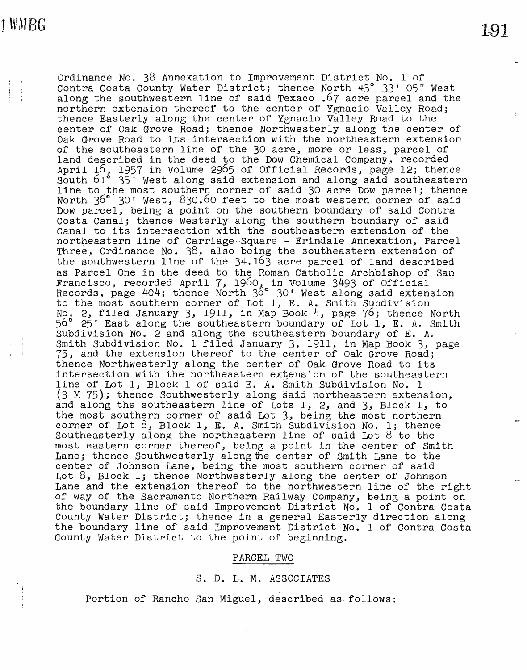191

Ordinance No. 38 Annexation to Improvement District No. 1 of Contra Costa County Water District; thence North 43° 33' 05" West along the southwestern line of said Texaco .67 acre parcel and the northern extenaion thereof to the center of Ygnacio Valley Road; thence Easterly along the center of Ygnacio Valley Road to the center of Oak Grove Road; thence Northwesterly along the center of Oak Grove Road to its intersection with the northeastern extension of the southeastern line of the 30 acre, more or less., parcel of land described in the deed to the Dow Chemical Company, recorded April 16, 1957 in Volume 2965 of Official Records, page 12; thence South 61° 35' West along said extension and along said southeastern line to the most southern corner of said 30 acre Dow parcel; thence North 36° 30' West, 830.60 feet to the most western corner of said Dow parcel, being a point on the southern boundary of said Contra Costa Canal; thence Westerly along the southern boundary of said Canal to its intersection with the southeastern extension of the northeastern line of Carriage Square - Erindale Annexation, Parcel Three, Ordinance No. 38, also being the southeastern extension of the southwestern line of the 34.163 acre parcel of land described as Parcel One in the deed to the Roman Catholic Archbishop of San Francisco, recorded April 7, 1960, in Volume 3493 of Official Records, page 404; thence North 36° 30' West along said extension to the most southern corner of Lot 1, E. *A.* Smith Subdivision No. 2, filed January 3, 1911, in Map Book 4, page 76; thence North 56° 25' East along the southeastern boundary of Lot 1, E. *A.* Smith Subdivision No. 2 and along the southeastern boundary of E. *A.*  Smith Subdivision No. 1 filed January 3, 1911, in Map Book 3, page 75, and the extension thereof to the center of Oak Grove Road; thence Northwesterly along the center of Oak Grove Road to its intersection with the northeastern extension of the southeastern line of Lot 1, Block 1 of said E. *A.* Smith Subdivision No. 1 (3M 75); thence Southwesterly along said northeastern extension, and along the southeastern line of Lots 1, 2, and 3, Block 1, to the most southern corner of said Lot 3, being the most northern corner of Lot 8., Block 1, E. *A.* Smith Subdivision No. l; thence Southeasterly along the northeastern line of said Lot 8 to the most eastern corner thereof, being a point in the center of Smith Lane; thence Southwesterly along the center of Smith Lane to the center of Johnson Lane, being the most southern corner of said Lot 8, Block l; thence Northwesterly along the center of Johnson Lane and the extension thereof to the northwestern line of the right of way of the Sacramento Northern Railway Company, being a point on the boundary line of said Improvement District No. 1 of Contra Costa County Water District; thence in a general Easterly direction along the boundary line of said Improvement District No. 1 of Contra Costa County Water District to the point of beginning.

### PARCEL TWO

### S. D. L. M. ASSOCIATES

Portion of Rancho San Miguel, described as follows: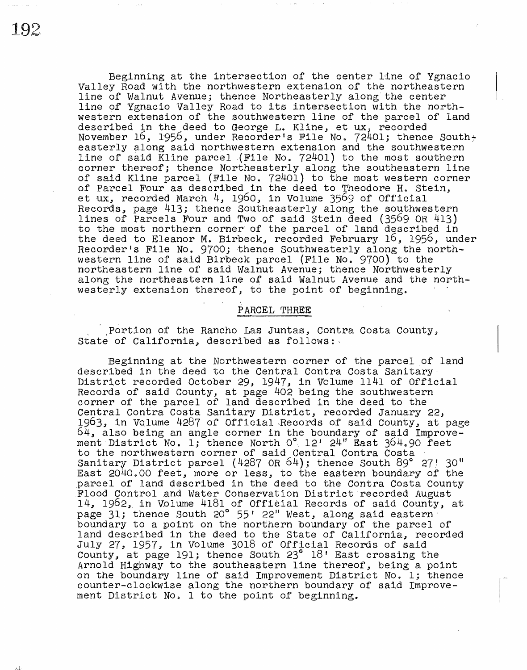Beginning at the intersection of the center 11ne of Ygnacio Valley Road with the northwestern extension of the northeastern line of Walnut Avenue; thence Northeasterly along.the center line of Ygnacio Valley Road to its intersection with the northwestern extension of the southwestern line of the parcel of land described in the deed to George L. Kline, et ux, recorded November 16, 1956, under Recorder's File No. 72401; thence South $\div$ easterly along said northwestern extension and the southwestern line of said Kline parcel (File No. 72401) to the most southern corner thereof; thence Northeasterly along the southeastern line of said Kline parcel (File No. 72401) to the most western corner of Parcel Four as described in the deed to Theodore H. Stein, et ux, recorded March 4, 1960, in Volume 3569 of Official Records, page 413; thence southeasterly along the southwestern lines of Parcels Four and Two of said Stein deed (3569 OR 413) to the most northern corner· of the parcel of land described in the deed to Eleanor M. Birbeck, recorded February 16, 1956, under Recorder's File No. 9700; thence Southwesterly along the northwestern line of said Birbeck parcel (File No. 9700) to the northeastern line of said Walnut Avenue; thence Northwesterly along the northeastern line of said Walnut Avenue and the northwesterly extension thereof, to the point of beginning.

## PARCEL THREE

Portion of the Rancho Las Juntas, Contra Costa County, State of California, described as follows:

Beginning at the Northwestern corner of the parcel of land described in the deed to the Central Contra Costa Sanitary District recorded October 29, 1947, in Volume 1141 of Official Records of said County, at page 402 being the southwestern corner of the parcel of land described in the deed to the Central Contra Costa Sanitary District, recorded January 22, 1963, in Volume 4287 of Official Records of said County, at page 64, also being an angle corner in the boundary of said Improve- $\sim$ -, also being an angle coiner in the boundary of said improvement District No. 1; thence North  $0^{\circ}$ , 12' 24" East 364.90 feet to the northwestern corner of said Central Contra Costa Sanitary District parcel (4287 OR  $64$ ); thence South 89° 27! 30" East 2040.00 feet, more or less, to the eastern boundary of the ,parcel of land described in the deed to the Contra Costa county .Flood Control .and Water Conservation District·recorded August  $14$ ,  $1962$ , in Volume 4181 of Official Records of said County, at page 31; thence South 20° 55' 22" West, along said eastern boundary to a point on the northern boundary of the parcel of land described in the deed to the State of California, recorded July 27, 1957, in Volume 3018 of Official Records of said Eary 27, 2007, 21 Veralle 3018 of criteral Records of Sara Arnold Highway to the southeastern line thereof, being a point on the boundary line of said Improvement District No. l; thence counter-clockwise along the northern boundary of said Improvement District No. 1 to the point of beginning.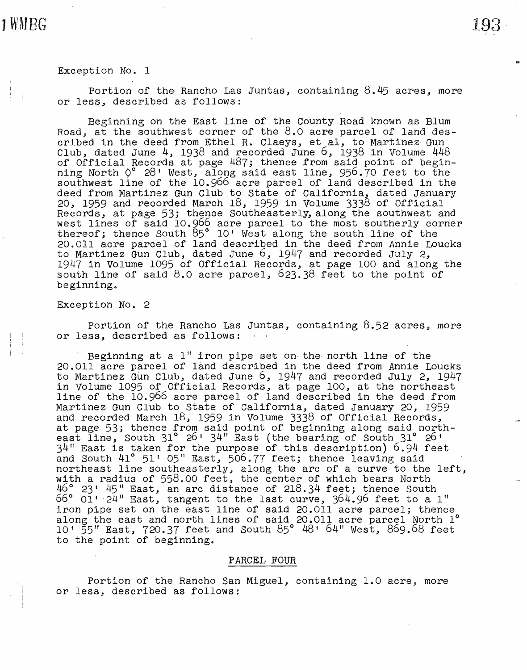#### Exception No. 1

JWMBG

Portion of the Rancho Las Juntas, containing  $8.45$  acres, more or less, described as follows:

Beginning on the East line: of the County Road known as Blum Road, at the southwest corner of the 8.o acre parcel of land described in the deed from Ethel R. Claeys, et al, to Martinez Gun Club, dated June 4, 1938 and recorded June  $6$ , 1938 in Volume 448 of Official Records at page 487; thence from said point of beginning North  $Q^{\circ}$  28' West, along said east line, 956.70 feet to the southwest line of the 10.966 acre parcel of land described in the deed from Martinez Gun Club to State of California, dated January<br>20, 1959 and recorded March 18, 1959 in Volume 3338 of Official Lo, 1999 and recorded hard: 10, 1999 in voralle 3390 or criteral necords, as page 33, choice southeasering, along the southmest and thereof; thence South 85° 10' West along the south line of the 20.011 acre parcel of land described in the deed from Annie Loucks to Martinez Gun Club, dated June 6, 1947 and recorded July 2, 1947 in Volume 1095 of Official Records, at page 100 and along the south line of said 8.o acre parcel, 623.38 feet to the point of beginning.

Exception No. 2

Portion of the Rancho Las Juntas, containing  $8.52$  acres, more or less, described as follows:

Beginning at a  $1$ " iron pipe set on the north line of the 20.011 acre parcel of land described in the deed from Annie Loucks to Martinez Gun Club, dated June 6, 1947 and recorded July 2, 1947 in Volume 1095 of Official Records, at page 100, at the northeast line of the 10.966 acre parcel of land described in the deed from Martinez Gun Club to State of California, dated January 20, 1959 and recorded March 18, 1959 in Volume 3338 of Official Records, at page 53; thence from said point of beginning along said northeast line, South 31° 26 1 34" East (the bearing of south 31° 26 <sup>1</sup> 34" East is taken for the purpose of this description) 6.94 feet and South  $41^{\circ}$  51' 05" East, 506.77 feet; thence leaving said northeast line southeasterly, along the arc of a curve to the left, with a radius of 558.00 feet, the center of which bears North 46° 23t 45" East, an arc distance of' 218.34 feet; thence South  $66°$   $01'$   $24''$  East, tangent to the last curve,  $364.96$  feet to a 1" iron pipe set on the east line of said 20.011 acre parcel; thence along the east and north lines of said 20.011 acre parcel North 1° 10' 55" East, 720.37 feet and South 85° 48' 6411 West, 869.68 feet to the point of beginning.

## PARCEL FOUR

Portion of the Rancho San Miguel, containing 1.0 acre, more or less, described as follows: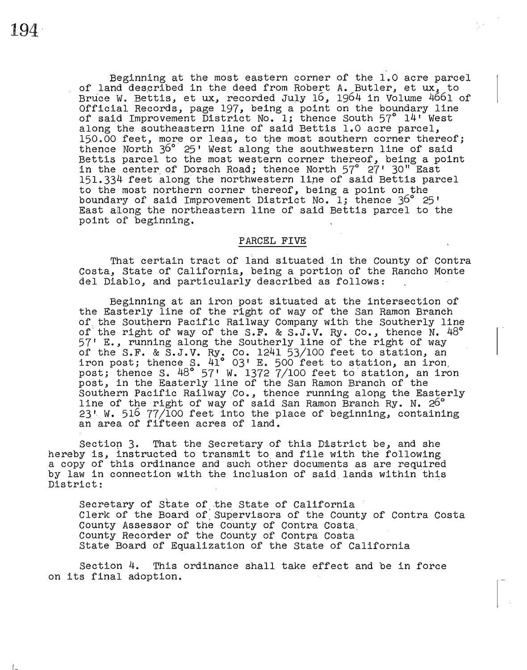Beginning at the most eastern corner of the 1.0 acre parcel of land described in the deed from Robert *A.* Butler, et ux., to Bruce W. Bettis, et ux, recorded July 16, 1964 in Volume 4661 of Official Records, page 197, being a point on the boundary line of said Improvement District No. 1; thence South 57° 14' West along the southeastern line of said Bettis 1.0 acre parcel, 150.00 feet, more or less, to the most southern corner thereof; thence North 36° 25' West along the southwestern line of said Bettis parcel to the most western corner thereof, being a point in the center, of Dorsch Road; thence North 57° 27' 30" East 151.334 feet along the northwestern line of said Bettis parcel to the most northern corner thereof, being a point on the boundary of said Improvement District No. l; thence 36° 25' East along the northeastern line of said Bettis parcel to the point of beginning.

# PARCEL FIVE

That certain tract of land situated in the County of Contra Costa, State of California, being a portion of the Rancho Monte del Diablo., and particularly described as follows:

Beginning at an iron post situated at the intersection of the Easterly line of the right of way of the San Ramon Branch of the Southern Pacific Railway Company with the Southerly line of the right of way of the S.F. & S.J.V. Ry. Co., thence N.  $48^\circ$ 57' E., running along the Southerly line of the right *of* way of the S.F. & S.J.V. Ry. Co. 1241 53/100 feet to station, an iron post; thence s. 41° 03• E. 500 feet to station, an iron, post; thence S.  $48^\circ$  57' W. 1372 7/100 feet to station, an iron post, in the Easterly line of the San Ramon Branch of the Southern Pacific Railway Co., thence running along the Easterly line of the right of way of said San Ramon Branch Ry. N. 26°  $23!$  W. 516 77/100 feet into the place of beginning, containing an area of fifteen acres of land.

Section 3. That the Secretary of this District be, and she hereby is, instructed to transmit to. and file with the following a copy of this ordinance and such other documents as are required by law in connection with the inclusion of said lands within this by law in connection wrant and increasion of sale lands wranth and

Secretary of State of the State of California Clerk of the Board of:supervisors of the County of Contra Costa County Assessor of the County of Contra Costa. County Recorder of the County of Contra Costa State Board of Equalization of the State of California

Section 4. This ordinance shall take effect and be in force on its final adoption.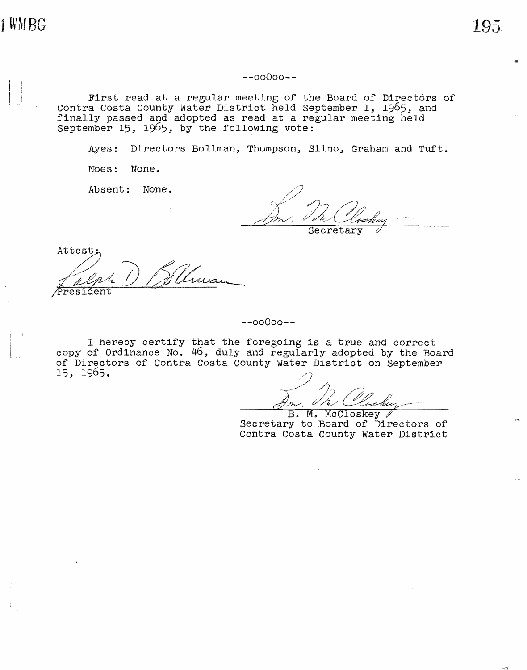**JWMBG** 

**--00000--**

First read at a regular meeting of the Board of Directors of contra Costa County Water District held September 1, 1965, and finally passed and adopted as read at a regular meeting held September 15, 1965, by the following vote:

Ayes: Directors Bollman, Thompson, Siino, Graham and Tuft.

Noes: None.

Absent: None.

**Secretary** 

Attest·  $P$ resident In In<br>24 ) Willman<br>mt

#### **--00000--**

I hereby certify that the foregoing is a true and correct copy of Ordinance No. 46, duly and regularly adopted by the Board of Directors of Contra Costa County Water District on September 15, 1965.

 $-$ <sup>1</sup>, 1.

B. M. McCloskey Secretary to Board of Directors of Contra Costa County Water District